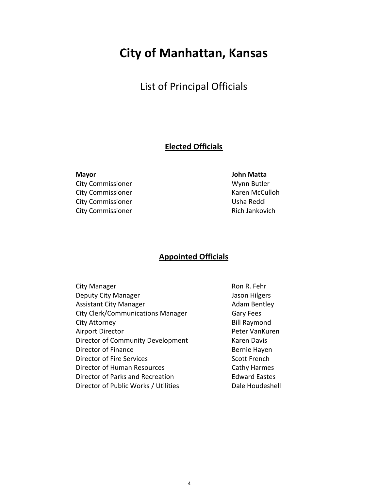## **City of Manhattan, Kansas**

### List of Principal Officials

#### **Elected Officials**

**Mayor John Matta**  City Commissioner Wynn Butler

City Commissioner **Karen McCulloh** City Commissioner and Usha Reddi City Commissioner **Rich Jankovich** Rich Jankovich

#### **Appointed Officials**

| <b>City Manager</b>                      | Ron R. Fehr          |
|------------------------------------------|----------------------|
| Deputy City Manager                      | Jason Hilgers        |
| <b>Assistant City Manager</b>            | <b>Adam Bentley</b>  |
| <b>City Clerk/Communications Manager</b> | <b>Gary Fees</b>     |
| City Attorney                            | <b>Bill Raymond</b>  |
| <b>Airport Director</b>                  | Peter VanKuren       |
| Director of Community Development        | Karen Davis          |
| Director of Finance                      | Bernie Hayen         |
| Director of Fire Services                | <b>Scott French</b>  |
| Director of Human Resources              | <b>Cathy Harmes</b>  |
| Director of Parks and Recreation         | <b>Edward Eastes</b> |
| Director of Public Works / Utilities     | Dale Houdeshell      |